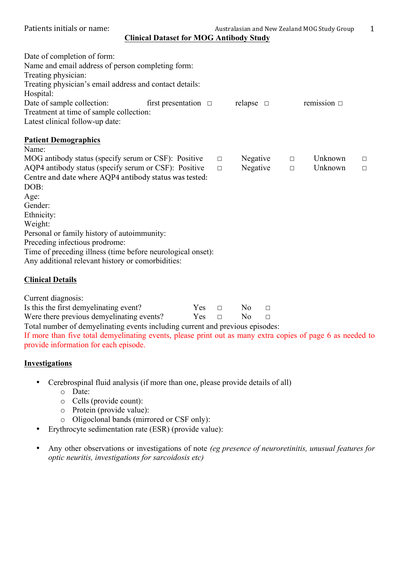Patients initials or name:  $\frac{1}{1}$  Australasian and New Zealand MOG Study Group 1

**Clinical Dataset for MOG Antibody Study**

| Date of completion of form:                                                                                |
|------------------------------------------------------------------------------------------------------------|
| Name and email address of person completing form:                                                          |
| Treating physician:                                                                                        |
| Treating physician's email address and contact details:                                                    |
| Hospital:                                                                                                  |
| Date of sample collection:<br>first presentation $\Box$<br>relapse $\square$<br>remission $\Box$           |
| Treatment at time of sample collection:                                                                    |
| Latest clinical follow-up date:                                                                            |
| <b>Patient Demographics</b>                                                                                |
| Name:                                                                                                      |
| MOG antibody status (specify serum or CSF): Positive<br>Unknown<br>Negative<br>$\Box$<br>$\Box$<br>$\Box$  |
| AQP4 antibody status (specify serum or CSF): Positive<br>Negative<br>Unknown<br>$\Box$<br>$\Box$<br>$\Box$ |
| Centre and date where AQP4 antibody status was tested:                                                     |
| DOB:                                                                                                       |
| Age:                                                                                                       |
| Gender:                                                                                                    |
| Ethnicity:                                                                                                 |
| Weight:                                                                                                    |
| Personal or family history of autoimmunity:                                                                |
| Preceding infectious prodrome:                                                                             |
| Time of preceding illness (time before neurological onset):                                                |
| Any additional relevant history or comorbidities:                                                          |
| <b>Clinical Details</b>                                                                                    |

Current diagnosis:

| Is this the first demyelinating event?    | $Yes \square$ | $\overline{N}$ $\Omega$ $\overline{N}$ |  |
|-------------------------------------------|---------------|----------------------------------------|--|
| Were there previous demyelinating events? | $Yes \square$ | $N0$ $\Box$                            |  |
| m 1 1 01 1 1 2 1 1 1                      |               |                                        |  |

Total number of demyelinating events including current and previous episodes: If more than five total demyelinating events, please print out as many extra copies of page 6 as needed to provide information for each episode.

### **Investigations**

- Cerebrospinal fluid analysis (if more than one, please provide details of all)
	- o Date:
	- o Cells (provide count):
	- o Protein (provide value):
	- o Oligoclonal bands (mirrored or CSF only):
- Erythrocyte sedimentation rate (ESR) (provide value):
- Any other observations or investigations of note *(eg presence of neuroretinitis, unusual features for optic neuritis, investigations for sarcoidosis etc)*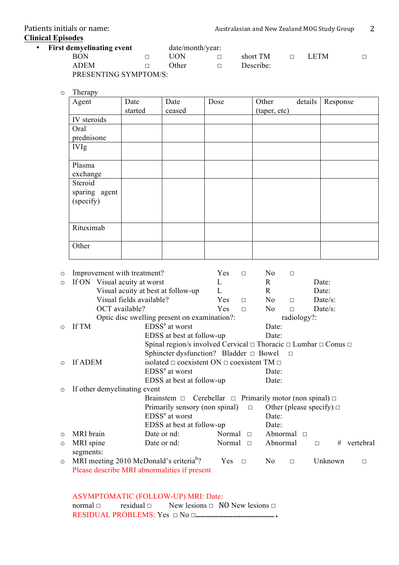# **Clinical Episodes**

| • First demyelinating event |        | date/month/year: |          |             |  |
|-----------------------------|--------|------------------|----------|-------------|--|
| RON                         |        | UON              | short TM | <b>LETM</b> |  |
| <b>ADEM</b>                 | :)ther | Describe:        |          |             |  |
| PRESENTING SYMPTOM/S:       |        |                  |          |             |  |

o Therapy

| Agent         | Date    | Date   | Dose | Other        | details | Response |
|---------------|---------|--------|------|--------------|---------|----------|
|               | started | ceased |      | (taper, etc) |         |          |
| IV steroids   |         |        |      |              |         |          |
| Oral          |         |        |      |              |         |          |
| prednisone    |         |        |      |              |         |          |
| <b>IVIg</b>   |         |        |      |              |         |          |
|               |         |        |      |              |         |          |
| Plasma        |         |        |      |              |         |          |
| exchange      |         |        |      |              |         |          |
| Steroid       |         |        |      |              |         |          |
| sparing agent |         |        |      |              |         |          |
| (specify)     |         |        |      |              |         |          |
|               |         |        |      |              |         |          |
|               |         |        |      |              |         |          |
| Rituximab     |         |        |      |              |         |          |
|               |         |        |      |              |         |          |
| Other         |         |        |      |              |         |          |
|               |         |        |      |              |         |          |

| $\circ$ | Improvement with treatment?                         |                                                                                     | Yes    | $\Box$ | N0             | $\Box$             |                               |           |
|---------|-----------------------------------------------------|-------------------------------------------------------------------------------------|--------|--------|----------------|--------------------|-------------------------------|-----------|
| $\circ$ | If ON Visual acuity at worst                        |                                                                                     | L      |        | R              |                    | Date:                         |           |
|         |                                                     | Visual acuity at best at follow-up                                                  | L      |        | $\mathbf R$    |                    | Date:                         |           |
|         | Visual fields available?                            |                                                                                     | Yes    | $\Box$ | N <sub>0</sub> | $\Box$             | Date/s:                       |           |
|         | OCT available?                                      |                                                                                     | Yes    | $\Box$ | N <sub>0</sub> | $\Box$             | $Date/s$ :                    |           |
|         |                                                     | Optic disc swelling present on examination?:                                        |        |        |                | radiology?:        |                               |           |
| $\circ$ | If TM                                               | $EDSSa$ at worst                                                                    |        |        | Date:          |                    |                               |           |
|         |                                                     | EDSS at best at follow-up                                                           |        |        | Date:          |                    |                               |           |
|         |                                                     | Spinal region/s involved Cervical $\Box$ Thoracic $\Box$ Lumbar $\Box$ Conus $\Box$ |        |        |                |                    |                               |           |
|         |                                                     | Sphincter dysfunction? Bladder $\Box$ Bowel                                         |        |        |                | $\Box$             |                               |           |
| $\circ$ | If ADEM                                             | isolated $\Box$ coexistent ON $\Box$ coexistent TM $\Box$                           |        |        |                |                    |                               |           |
|         |                                                     | $EDSSa$ at worst                                                                    |        |        | Date:          |                    |                               |           |
|         |                                                     | EDSS at best at follow-up                                                           |        |        | Date:          |                    |                               |           |
| $\circ$ | If other demyelinating event                        |                                                                                     |        |        |                |                    |                               |           |
|         |                                                     | Brainstem $\Box$ Cerebellar $\Box$ Primarily motor (non spinal) $\Box$              |        |        |                |                    |                               |           |
|         |                                                     | Primarily sensory (non spinal)                                                      |        | $\Box$ |                |                    | Other (please specify) $\Box$ |           |
|         |                                                     | $EDSSa$ at worst                                                                    |        |        | Date:          |                    |                               |           |
|         |                                                     | EDSS at best at follow-up                                                           |        |        | Date:          |                    |                               |           |
| $\circ$ | MRI brain                                           | Date or nd:                                                                         | Normal | $\Box$ |                | Abnormal $\square$ |                               |           |
| $\circ$ | MRI spine                                           | Date or nd:                                                                         | Normal | $\Box$ | Abnormal       |                    | #<br>$\Box$                   | vertebral |
|         | segments:                                           |                                                                                     |        |        |                |                    |                               |           |
| $\circ$ | MRI meeting 2010 McDonald's criteria <sup>b</sup> ? |                                                                                     | Yes    | $\Box$ | N <sub>0</sub> | $\Box$             | Unknown                       | $\Box$    |
|         |                                                     | Please describe MRI abnormalities if present                                        |        |        |                |                    |                               |           |

# ASYMPTOMATIC (FOLLOW-UP) MRI: Date:

normal  $□$  residual  $□$  New lesions  $□$  NO New lesions  $□$ RESIDUAL PROBLEMS: Yes ☐ No ☐…………………………………………….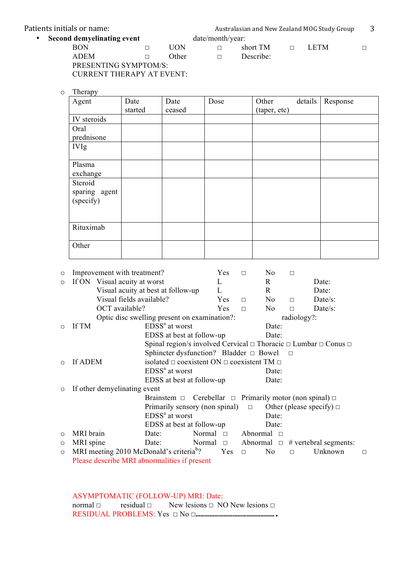| Patients initials or name: |  | Australasian and New Zealand MOG Study Group |  |           |  |             |  |
|----------------------------|--|----------------------------------------------|--|-----------|--|-------------|--|
| Second demyelinating event |  | date/month/year:                             |  |           |  |             |  |
| <b>BON</b>                 |  | HON                                          |  | short TM  |  | <b>LETM</b> |  |
| <b>ADEM</b>                |  | Other                                        |  | Describe: |  |             |  |
| DDECENTING CVMDTOM/C.      |  |                                              |  |           |  |             |  |

PRESENTING SYMPTOM/S: CURRENT THERAPY AT EVENT:

o Therapy

| Agent         | Date    | Date   | Dose | Other        | details | Response |
|---------------|---------|--------|------|--------------|---------|----------|
|               | started | ceased |      | (taper, etc) |         |          |
| IV steroids   |         |        |      |              |         |          |
| Oral          |         |        |      |              |         |          |
| prednisone    |         |        |      |              |         |          |
| <b>IVIg</b>   |         |        |      |              |         |          |
|               |         |        |      |              |         |          |
| Plasma        |         |        |      |              |         |          |
| exchange      |         |        |      |              |         |          |
| Steroid       |         |        |      |              |         |          |
| sparing agent |         |        |      |              |         |          |
| (specify)     |         |        |      |              |         |          |
|               |         |        |      |              |         |          |
|               |         |        |      |              |         |          |
| Rituximab     |         |        |      |              |         |          |
|               |         |        |      |              |         |          |
| Other         |         |        |      |              |         |          |
|               |         |        |      |              |         |          |

| $\circ$ | Improvement with treatment?                         |                                                                                     |                  | Yes        | $\Box$   | No             | $\Box$      |                                                       |   |
|---------|-----------------------------------------------------|-------------------------------------------------------------------------------------|------------------|------------|----------|----------------|-------------|-------------------------------------------------------|---|
| $\circ$ | If ON Visual acuity at worst                        |                                                                                     |                  | L          |          | R              |             | Date:                                                 |   |
|         |                                                     | Visual acuity at best at follow-up                                                  |                  | L          |          | $\mathbf R$    |             | Date:                                                 |   |
|         | Visual fields available?                            |                                                                                     |                  | Yes        | $\Box$   | N <sub>0</sub> | $\Box$      | Date/s:                                               |   |
|         | OCT available?                                      |                                                                                     |                  | <b>Yes</b> | $\Box$   | N <sub>0</sub> | П           | $Date/s$ :                                            |   |
|         |                                                     | Optic disc swelling present on examination?:                                        |                  |            |          |                | radiology?: |                                                       |   |
| $\circ$ | If TM                                               | $EDSSa$ at worst                                                                    |                  |            |          | Date:          |             |                                                       |   |
|         |                                                     | EDSS at best at follow-up                                                           |                  |            |          | Date:          |             |                                                       |   |
|         |                                                     | Spinal region/s involved Cervical $\Box$ Thoracic $\Box$ Lumbar $\Box$ Conus $\Box$ |                  |            |          |                |             |                                                       |   |
|         |                                                     | Sphincter dysfunction? Bladder $\Box$ Bowel                                         |                  |            |          | $\Box$         |             |                                                       |   |
| $\circ$ | If ADEM                                             | isolated $\Box$ coexistent ON $\Box$ coexistent TM $\Box$                           |                  |            |          |                |             |                                                       |   |
|         |                                                     | $EDSSa$ at worst                                                                    |                  |            |          | Date:          |             |                                                       |   |
|         |                                                     | EDSS at best at follow-up                                                           |                  |            |          | Date:          |             |                                                       |   |
| $\circ$ | If other demyelinating event                        |                                                                                     |                  |            |          |                |             |                                                       |   |
|         |                                                     | Brainstem $\square$                                                                 |                  |            |          |                |             | Cerebellar $\Box$ Primarily motor (non spinal) $\Box$ |   |
|         |                                                     | Primarily sensory (non spinal)                                                      |                  |            | $\Box$   |                |             | Other (please specify) $\Box$                         |   |
|         |                                                     | $EDSSa$ at worst                                                                    |                  |            |          | Date:          |             |                                                       |   |
|         |                                                     | EDSS at best at follow-up                                                           |                  |            |          | Date:          |             |                                                       |   |
| $\circ$ | MRI brain                                           | Date:                                                                               | Normal $\square$ |            | Abnormal | $\Box$         |             |                                                       |   |
| $\circ$ | MRI spine                                           | Date:                                                                               | Normal $\Box$    |            |          |                |             | Abnormal $\Box$ # vertebral segments:                 |   |
| $\circ$ | MRI meeting 2010 McDonald's criteria <sup>b</sup> ? |                                                                                     |                  | Yes        | $\Box$   | N <sub>0</sub> | $\Box$      | Unknown                                               | □ |
|         | Please describe MRI abnormalities if present        |                                                                                     |                  |            |          |                |             |                                                       |   |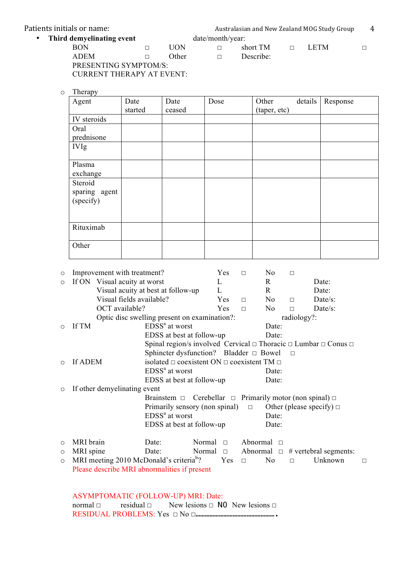| Patients initials or name: | Australasian and New Zealand MOG Study Group |       |                  |           |  |       |  |
|----------------------------|----------------------------------------------|-------|------------------|-----------|--|-------|--|
| Third demyelinating event  |                                              |       | date/month/year: |           |  |       |  |
| BON                        |                                              | HON   |                  | short TM  |  | LETM. |  |
| <b>ADEM</b>                |                                              | Other | $\Box$           | Describe: |  |       |  |
| DRECEMENTO CVA IDEOMIC     |                                              |       |                  |           |  |       |  |

PRESENTING SYMPTOM/S: CURRENT THERAPY AT EVENT:

o Therapy

| .<br>Agent    | Date    | Date   | Dose | Other        | details | Response |
|---------------|---------|--------|------|--------------|---------|----------|
|               | started | ceased |      | (taper, etc) |         |          |
| IV steroids   |         |        |      |              |         |          |
| Oral          |         |        |      |              |         |          |
| prednisone    |         |        |      |              |         |          |
| <b>IVIg</b>   |         |        |      |              |         |          |
|               |         |        |      |              |         |          |
| Plasma        |         |        |      |              |         |          |
| exchange      |         |        |      |              |         |          |
| Steroid       |         |        |      |              |         |          |
| sparing agent |         |        |      |              |         |          |
| (specify)     |         |        |      |              |         |          |
|               |         |        |      |              |         |          |
|               |         |        |      |              |         |          |
| Rituximab     |         |        |      |              |         |          |
|               |         |        |      |              |         |          |
| Other         |         |        |      |              |         |          |
|               |         |        |      |              |         |          |

| $\circ$ | Improvement with treatment?                         |                                                                                     |        | Yes                                                       | $\Box$          | No             | $\Box$      |                                                       |        |
|---------|-----------------------------------------------------|-------------------------------------------------------------------------------------|--------|-----------------------------------------------------------|-----------------|----------------|-------------|-------------------------------------------------------|--------|
| $\circ$ | If ON Visual acuity at worst                        |                                                                                     |        | L                                                         |                 | $\mathbf{R}$   |             | Date:                                                 |        |
|         |                                                     | Visual acuity at best at follow-up                                                  |        | L                                                         |                 | R              |             | Date:                                                 |        |
|         | Visual fields available?                            |                                                                                     |        | Yes                                                       | $\Box$          | N <sub>0</sub> | П           | Date/s:                                               |        |
|         | OCT available?                                      |                                                                                     |        | Yes                                                       | $\Box$          | No             | $\Box$      | Date/s:                                               |        |
|         |                                                     | Optic disc swelling present on examination?:                                        |        |                                                           |                 |                | radiology?: |                                                       |        |
| $\circ$ | If TM                                               | $EDSSa$ at worst                                                                    |        |                                                           |                 | Date:          |             |                                                       |        |
|         |                                                     | EDSS at best at follow-up                                                           |        |                                                           |                 | Date:          |             |                                                       |        |
|         |                                                     | Spinal region/s involved Cervical $\Box$ Thoracic $\Box$ Lumbar $\Box$ Conus $\Box$ |        |                                                           |                 |                |             |                                                       |        |
|         |                                                     | Sphincter dysfunction? Bladder $\Box$ Bowel                                         |        |                                                           |                 |                | $\Box$      |                                                       |        |
| $\circ$ | If ADEM                                             |                                                                                     |        | isolated $\Box$ coexistent ON $\Box$ coexistent TM $\Box$ |                 |                |             |                                                       |        |
|         |                                                     | $EDSSa$ at worst                                                                    |        |                                                           |                 | Date:          |             |                                                       |        |
|         |                                                     | EDSS at best at follow-up                                                           |        |                                                           |                 | Date:          |             |                                                       |        |
| $\circ$ | If other demyelinating event                        |                                                                                     |        |                                                           |                 |                |             |                                                       |        |
|         |                                                     | Brainstem $\square$                                                                 |        |                                                           |                 |                |             | Cerebellar $\Box$ Primarily motor (non spinal) $\Box$ |        |
|         |                                                     | Primarily sensory (non spinal)                                                      |        |                                                           | $\Box$          |                |             | Other (please specify) $\Box$                         |        |
|         |                                                     | EDSS <sup>ª</sup> at worst                                                          |        |                                                           |                 | Date:          |             |                                                       |        |
|         |                                                     | EDSS at best at follow-up                                                           |        |                                                           |                 | Date:          |             |                                                       |        |
| $\circ$ | MRI brain                                           | Date:                                                                               | Normal | $\Box$                                                    | Abnormal $\Box$ |                |             |                                                       |        |
| $\circ$ | MRI spine                                           | Date:                                                                               | Normal | $\Box$                                                    |                 |                |             | Abnormal $\Box$ # vertebral segments:                 |        |
| $\circ$ | MRI meeting 2010 McDonald's criteria <sup>b</sup> ? |                                                                                     |        | Yes                                                       | $\Box$          | N <sub>0</sub> | П           | Unknown                                               | $\Box$ |
|         | Please describe MRI abnormalities if present        |                                                                                     |        |                                                           |                 |                |             |                                                       |        |

#### ASYMPTOMATIC (FOLLOW-UP) MRI: Date: normal  $□$  residual  $□$  New lesions  $□$  NO New lesions  $□$ RESIDUAL PROBLEMS: Yes ☐ No ☐…………………………………………….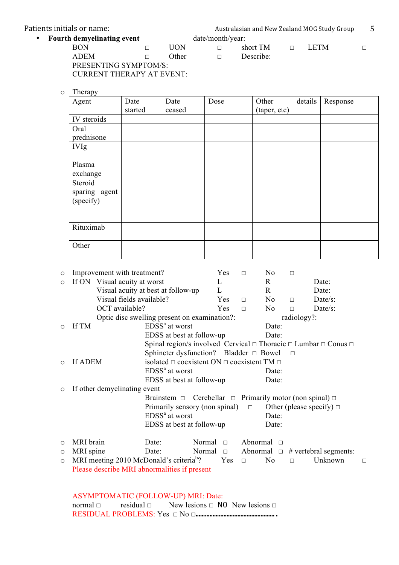| Patients initials or name:        |  |                  |  | Australasian and New Zealand MOG Study Group |  |             |  |  |  |
|-----------------------------------|--|------------------|--|----------------------------------------------|--|-------------|--|--|--|
| <b>Fourth demyelinating event</b> |  | date/month/year: |  |                                              |  |             |  |  |  |
| <b>BON</b>                        |  | UON              |  | short TM                                     |  | <b>LETM</b> |  |  |  |
| <b>ADEM</b>                       |  | Other            |  | Describe:                                    |  |             |  |  |  |
| PRESENTING SYMPTOM/S:             |  |                  |  |                                              |  |             |  |  |  |

CURRENT THERAPY AT EVENT:

o Therapy

| Agent         | Date    | Date   | Dose | Other        | details | Response |
|---------------|---------|--------|------|--------------|---------|----------|
|               | started | ceased |      | (taper, etc) |         |          |
| IV steroids   |         |        |      |              |         |          |
| Oral          |         |        |      |              |         |          |
| prednisone    |         |        |      |              |         |          |
| <b>IVIg</b>   |         |        |      |              |         |          |
|               |         |        |      |              |         |          |
| Plasma        |         |        |      |              |         |          |
| exchange      |         |        |      |              |         |          |
| Steroid       |         |        |      |              |         |          |
| sparing agent |         |        |      |              |         |          |
| (specify)     |         |        |      |              |         |          |
|               |         |        |      |              |         |          |
|               |         |        |      |              |         |          |
| Rituximab     |         |        |      |              |         |          |
|               |         |        |      |              |         |          |
| Other         |         |        |      |              |         |          |
|               |         |        |      |              |         |          |

| $\circ$ | Improvement with treatment?                         |                                                                                     |        | Yes    | $\Box$             | No              | $\Box$      |                                                       |        |
|---------|-----------------------------------------------------|-------------------------------------------------------------------------------------|--------|--------|--------------------|-----------------|-------------|-------------------------------------------------------|--------|
| $\circ$ | If ON Visual acuity at worst                        |                                                                                     |        | L      |                    | $\mathbf{R}$    |             | Date:                                                 |        |
|         |                                                     | Visual acuity at best at follow-up                                                  |        | L      |                    | R.              |             | Date:                                                 |        |
|         | Visual fields available?                            |                                                                                     |        | Yes    | $\Box$             | No              | $\Box$      | Date/s:                                               |        |
|         | OCT available?                                      |                                                                                     |        | Yes    | $\Box$             | N <sub>0</sub>  | $\Box$      | Date/s:                                               |        |
|         |                                                     | Optic disc swelling present on examination?:                                        |        |        |                    |                 | radiology?: |                                                       |        |
| $\circ$ | $EDSSa$ at worst<br>If TM                           |                                                                                     |        |        |                    | Date:           |             |                                                       |        |
|         |                                                     | EDSS at best at follow-up                                                           |        |        |                    | Date:           |             |                                                       |        |
|         |                                                     | Spinal region/s involved Cervical $\Box$ Thoracic $\Box$ Lumbar $\Box$ Conus $\Box$ |        |        |                    |                 |             |                                                       |        |
|         |                                                     | Sphincter dysfunction? Bladder $\Box$ Bowel                                         |        |        |                    |                 | $\Box$      |                                                       |        |
| $\circ$ | If ADEM                                             | isolated $\Box$ coexistent ON $\Box$ coexistent TM $\Box$                           |        |        |                    |                 |             |                                                       |        |
|         |                                                     | $EDSSa$ at worst                                                                    |        |        |                    | Date:           |             |                                                       |        |
|         |                                                     | EDSS at best at follow-up                                                           |        |        |                    | Date:           |             |                                                       |        |
| $\circ$ | If other demyelinating event                        |                                                                                     |        |        |                    |                 |             |                                                       |        |
|         |                                                     | Brainstem $\Box$                                                                    |        |        |                    |                 |             | Cerebellar $\Box$ Primarily motor (non spinal) $\Box$ |        |
|         |                                                     | Primarily sensory (non spinal)                                                      |        |        | $\Box$             |                 |             | Other (please specify) $\Box$                         |        |
|         |                                                     | EDSS <sup>ª</sup> at worst                                                          |        |        |                    | Date:           |             |                                                       |        |
|         |                                                     | EDSS at best at follow-up                                                           |        |        |                    | Date:           |             |                                                       |        |
| $\circ$ | MRI brain                                           | Date:                                                                               | Normal | $\Box$ | Abnormal $\square$ |                 |             |                                                       |        |
| $\circ$ | MRI spine                                           | Date:                                                                               | Normal | $\Box$ |                    | Abnormal $\Box$ |             | $#$ vertebral segments:                               |        |
| $\circ$ | MRI meeting 2010 McDonald's criteria <sup>b</sup> ? |                                                                                     |        | Yes    | $\Box$             | N <sub>o</sub>  | $\Box$      | Unknown                                               | $\Box$ |
|         | Please describe MRI abnormalities if present        |                                                                                     |        |        |                    |                 |             |                                                       |        |

ASYMPTOMATIC (FOLLOW-UP) MRI: Date: normal  $□$  residual  $□$  New lesions  $□$  NO New lesions  $□$ RESIDUAL PROBLEMS: Yes ☐ No ☐…………………………………………….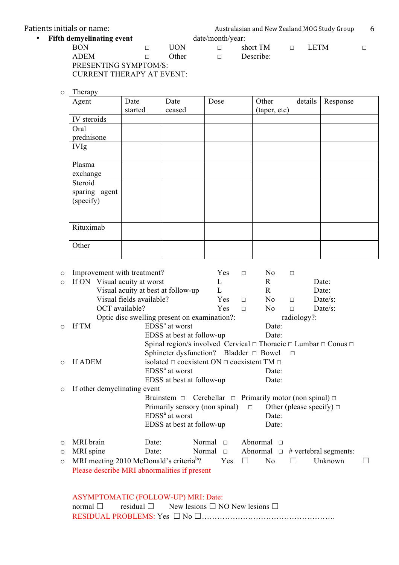| Patients initials or name:       |        | Australasian and New Zealand MOG Study Group |                  |           |  |      |  |
|----------------------------------|--------|----------------------------------------------|------------------|-----------|--|------|--|
| <b>Fifth demyelinating event</b> |        |                                              | date/month/year: |           |  |      |  |
| BON                              |        | HON                                          |                  | short TM  |  | LETM |  |
| ADEM                             | $\Box$ | Other                                        |                  | Describe: |  |      |  |

PRESENTING SYMPTOM/S: CURRENT THERAPY AT EVENT:

o Therapy

| 11 L<br>Agent | Date    | Date   | Dose | Other        | details | Response |
|---------------|---------|--------|------|--------------|---------|----------|
|               | started | ceased |      | (taper, etc) |         |          |
| IV steroids   |         |        |      |              |         |          |
| Oral          |         |        |      |              |         |          |
| prednisone    |         |        |      |              |         |          |
| <b>IVIg</b>   |         |        |      |              |         |          |
|               |         |        |      |              |         |          |
| Plasma        |         |        |      |              |         |          |
| exchange      |         |        |      |              |         |          |
| Steroid       |         |        |      |              |         |          |
| sparing agent |         |        |      |              |         |          |
| (specify)     |         |        |      |              |         |          |
|               |         |        |      |              |         |          |
|               |         |        |      |              |         |          |
| Rituximab     |         |        |      |              |         |          |
|               |         |        |      |              |         |          |
| Other         |         |        |      |              |         |          |
|               |         |        |      |              |         |          |

| $\circ$                                                                | Improvement with treatment?                                               |                                                                                     |               | Yes    | $\Box$          | No              | $\Box$      |                         |  |
|------------------------------------------------------------------------|---------------------------------------------------------------------------|-------------------------------------------------------------------------------------|---------------|--------|-----------------|-----------------|-------------|-------------------------|--|
| $\circ$                                                                | If ON Visual acuity at worst                                              |                                                                                     |               | L      |                 | $\mathbf{R}$    |             | Date:                   |  |
|                                                                        |                                                                           | Visual acuity at best at follow-up                                                  |               | L      |                 | R               |             | Date:                   |  |
|                                                                        | Visual fields available?                                                  |                                                                                     |               | Yes    | $\Box$          | N <sub>0</sub>  | $\Box$      | Date/s:                 |  |
|                                                                        | OCT available?                                                            |                                                                                     |               | Yes    | $\Box$          | No              | $\Box$      | Date/s:                 |  |
|                                                                        |                                                                           | Optic disc swelling present on examination?:                                        |               |        |                 |                 | radiology?: |                         |  |
| $\circ$                                                                | If TM                                                                     | $EDSSa$ at worst                                                                    |               |        |                 | Date:           |             |                         |  |
|                                                                        |                                                                           | EDSS at best at follow-up                                                           |               |        |                 | Date:           |             |                         |  |
|                                                                        |                                                                           | Spinal region/s involved Cervical $\Box$ Thoracic $\Box$ Lumbar $\Box$ Conus $\Box$ |               |        |                 |                 |             |                         |  |
|                                                                        |                                                                           | Sphincter dysfunction? Bladder $\Box$ Bowel                                         |               |        |                 |                 | $\Box$      |                         |  |
| $\circ$                                                                | If ADEM                                                                   | isolated $\Box$ coexistent ON $\Box$ coexistent TM $\Box$                           |               |        |                 |                 |             |                         |  |
|                                                                        |                                                                           | $EDSSa$ at worst                                                                    |               |        |                 | Date:           |             |                         |  |
|                                                                        |                                                                           | EDSS at best at follow-up                                                           |               |        |                 | Date:           |             |                         |  |
| $\circ$                                                                | If other demyelinating event                                              |                                                                                     |               |        |                 |                 |             |                         |  |
| Brainstem $\Box$ Cerebellar $\Box$ Primarily motor (non spinal) $\Box$ |                                                                           |                                                                                     |               |        |                 |                 |             |                         |  |
|                                                                        | Other (please specify) $\Box$<br>Primarily sensory (non spinal)<br>$\Box$ |                                                                                     |               |        |                 |                 |             |                         |  |
|                                                                        |                                                                           | $EDSSa$ at worst                                                                    |               |        |                 | Date:           |             |                         |  |
|                                                                        |                                                                           | EDSS at best at follow-up                                                           |               |        |                 | Date:           |             |                         |  |
| $\circ$                                                                | MRI brain                                                                 | Date:                                                                               | Normal        | $\Box$ | Abnormal $\Box$ |                 |             |                         |  |
| $\circ$                                                                | MRI spine                                                                 | Date:                                                                               | Normal $\Box$ |        |                 | Abnormal $\Box$ |             | $#$ vertebral segments: |  |
| $\circ$                                                                | MRI meeting 2010 McDonald's criteria <sup>b</sup> ?                       |                                                                                     |               | Yes    | $\Box$          | No              |             | Unknown                 |  |
|                                                                        | Please describe MRI abnormalities if present                              |                                                                                     |               |        |                 |                 |             |                         |  |

# ASYMPTOMATIC (FOLLOW-UP) MRI: Date:

|  | normal $\Box$ residual $\Box$ New lesions $\Box$ NO New lesions $\Box$ |
|--|------------------------------------------------------------------------|
|  |                                                                        |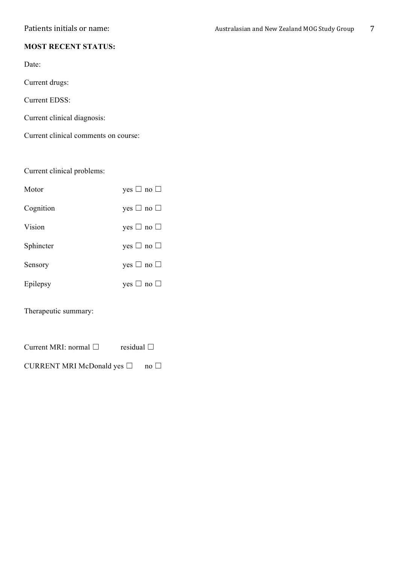## **MOST RECENT STATUS:**

Date:

Current drugs:

Current EDSS:

Current clinical diagnosis:

Current clinical comments on course:

Current clinical problems:

| Motor     | yes $\Box$ no $\Box$ |
|-----------|----------------------|
| Cognition | yes $\Box$ no $\Box$ |
| Vision    | yes $\Box$ no $\Box$ |
| Sphincter | yes $\Box$ no $\Box$ |
| Sensory   | yes $\Box$ no $\Box$ |
| Epilepsy  | yes $\Box$ no $\Box$ |

Therapeutic summary:

Current MRI: normal □ residual □

CURRENT MRI McDonald yes  $□$  no  $□$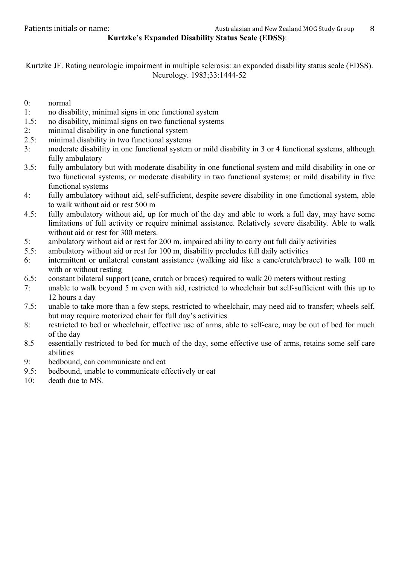Kurtzke JF. Rating neurologic impairment in multiple sclerosis: an expanded disability status scale (EDSS). Neurology. 1983;33:1444-52

- 0: normal
- 1: no disability, minimal signs in one functional system
- 1.5: no disability, minimal signs on two functional systems
- 2: minimal disability in one functional system
- 2.5: minimal disability in two functional systems
- 3: moderate disability in one functional system or mild disability in 3 or 4 functional systems, although fully ambulatory
- 3.5: fully ambulatory but with moderate disability in one functional system and mild disability in one or two functional systems; or moderate disability in two functional systems; or mild disability in five functional systems
- 4: fully ambulatory without aid, self-sufficient, despite severe disability in one functional system, able to walk without aid or rest 500 m
- 4.5: fully ambulatory without aid, up for much of the day and able to work a full day, may have some limitations of full activity or require minimal assistance. Relatively severe disability. Able to walk without aid or rest for 300 meters.
- 5: ambulatory without aid or rest for 200 m, impaired ability to carry out full daily activities
- 5.5: ambulatory without aid or rest for 100 m, disability precludes full daily activities
- 6: intermittent or unilateral constant assistance (walking aid like a cane/crutch/brace) to walk 100 m with or without resting
- 6.5: constant bilateral support (cane, crutch or braces) required to walk 20 meters without resting
- 7: unable to walk beyond 5 m even with aid, restricted to wheelchair but self-sufficient with this up to 12 hours a day
- 7.5: unable to take more than a few steps, restricted to wheelchair, may need aid to transfer; wheels self, but may require motorized chair for full day's activities
- 8: restricted to bed or wheelchair, effective use of arms, able to self-care, may be out of bed for much of the day
- 8.5 essentially restricted to bed for much of the day, some effective use of arms, retains some self care abilities
- 9: bedbound, can communicate and eat
- 9.5: bedbound, unable to communicate effectively or eat
- 10: death due to MS.